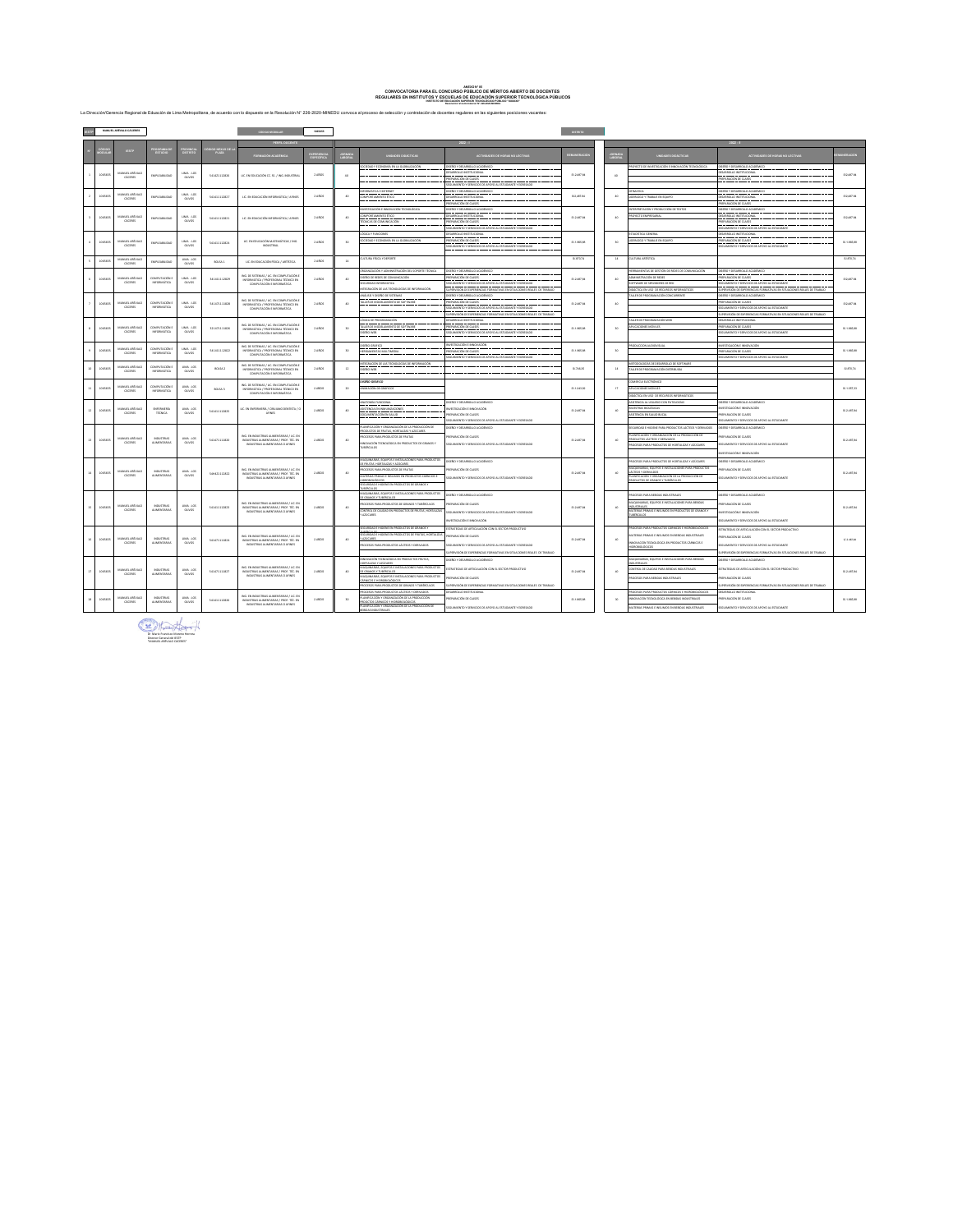| ANEXO Nº 65<br>CONVOCATORIA PARA EL CONCURSO PÚBLICO DE MÉRITOS ABIERTO DE DOCENTES.<br>REGULARES EN INSTITUTOS Y ESCUELAS DE EDUCACIÓN SUPERIOR TECNOLÓGICA PÚBLICOS<br>INSTITUTO DE EPUCACIÓN SUBSIDIO TECNOLÓGICO IGNILION TODOCOC<br>Experienced Microsoft Constitution of the Annual Microsoft |  |
|-----------------------------------------------------------------------------------------------------------------------------------------------------------------------------------------------------------------------------------------------------------------------------------------------------|--|
| a Dirección/Gereccia Regional de Eduación de Lima Metropolitana de acuerdo con lo dispuesto en la Resolución Nº 226,2020.MINEDU convoca al proceso de selección y contratación de docentes regulares en las siguientes posicio                                                                      |  |

|                 |                        | MANUEL AREVALO CACERES                 |                                          |                                          |                                           |                                                                                      | 1065655       |                                                 |                                                                                                 |                                                                                          |                      |                                                                       |                                                                                          |                                                                                                                                          |                                             |                                                                              |                                                                                   |                                                                                                 |                                                        |                                              |                                                     |                                                   |
|-----------------|------------------------|----------------------------------------|------------------------------------------|------------------------------------------|-------------------------------------------|--------------------------------------------------------------------------------------|---------------|-------------------------------------------------|-------------------------------------------------------------------------------------------------|------------------------------------------------------------------------------------------|----------------------|-----------------------------------------------------------------------|------------------------------------------------------------------------------------------|------------------------------------------------------------------------------------------------------------------------------------------|---------------------------------------------|------------------------------------------------------------------------------|-----------------------------------------------------------------------------------|-------------------------------------------------------------------------------------------------|--------------------------------------------------------|----------------------------------------------|-----------------------------------------------------|---------------------------------------------------|
|                 |                        |                                        |                                          |                                          |                                           | PERFIL DOCEN                                                                         |               |                                                 |                                                                                                 | $2022 - 1$                                                                               |                      |                                                                       |                                                                                          | $2022 - 1$                                                                                                                               |                                             |                                                                              |                                                                                   |                                                                                                 |                                                        |                                              |                                                     |                                                   |
|                 |                        |                                        |                                          |                                          |                                           |                                                                                      |               |                                                 |                                                                                                 | ACTIVIDADES DE HORAS NO LECTIVAS                                                         |                      |                                                                       |                                                                                          | <b>ACTIVIO ADES DE HORAS NO LECTIVAL</b>                                                                                                 |                                             |                                                                              |                                                                                   |                                                                                                 |                                                        |                                              |                                                     |                                                   |
|                 |                        |                                        |                                          |                                          |                                           |                                                                                      |               |                                                 | MODARIA FROM AT A MADIATA Y GADE                                                                | DISEÑO Y DESARROULO ACADÉMICO<br>DESARROLLO INSTITUCIONAL                                |                      |                                                                       | KOYGOLOGIZAT MÖSSZIGATÁN 3 MÖGVADÓM TECNOLÓGICA                                          | OSIÑO Y DESARROLLO ACADÉMICO<br>CLASSICIA INCORPORAL                                                                                     |                                             |                                                                              |                                                                                   |                                                                                                 |                                                        |                                              |                                                     |                                                   |
|                 | 106565                 | MANUEL AREVALO<br><b>CÁCERES</b>       | EMPLEAGLIQAD                             | <b>LIMA - LOS</b><br>ouvos               | 541421112826                              | LIC. EN EDUCACIÓN CC. SS. / ING. INDUSTRIAL                                          | 2.8806        | 40                                              |                                                                                                 | <b>PREPARACIÓN DE CLASES</b>                                                             | \$12,487.00          | 40                                                                    |                                                                                          | <b>SPARACIÓN DE CLASES</b>                                                                                                               | \$2,407.84                                  |                                                                              |                                                                                   |                                                                                                 |                                                        |                                              |                                                     |                                                   |
|                 |                        |                                        |                                          |                                          |                                           |                                                                                      |               |                                                 |                                                                                                 | GOINAISNTO Y SERVICIOS DE APOVO AL ESTUDIANTE Y EGRESADO                                 |                      |                                                                       |                                                                                          |                                                                                                                                          |                                             |                                                                              |                                                                                   |                                                                                                 |                                                        |                                              |                                                     |                                                   |
|                 |                        | <b><i>LANUEL AREVALO</i></b>           |                                          | LIMA - LOS                               |                                           |                                                                                      |               |                                                 | CRAMÁTICA E INTERNET                                                                            | DISEÑO Y DESARROLLO ACADÉMICO                                                            |                      |                                                                       | OFIMATICA                                                                                | GRO Y DESARROLLO ACADÉMICO                                                                                                               |                                             |                                                                              |                                                                                   |                                                                                                 |                                                        |                                              |                                                     |                                                   |
|                 | 106565                 | CÁCERES                                | EMPLEAGLIQAD                             | <b>OUVOS</b>                             | 541411112827                              | UC. DV EDUCACIÓN INFORMÁTICA / AFINES                                                | 2.880         |                                                 | CMPORTAMENTO ETICO                                                                              | DESARROLLO INSTITUCIONAL<br>PREPARACIÓN DE CLASES                                        | \$2,487.9            |                                                                       | UDERAZGO Y TRABAJE EN EQUIPO                                                             | DESARROLLO INSTITUCIONA<br>GRAMCIÓN DE CLASES                                                                                            | \$2,407.00                                  |                                                                              |                                                                                   |                                                                                                 |                                                        |                                              |                                                     |                                                   |
|                 |                        |                                        |                                          |                                          |                                           |                                                                                      |               |                                                 | MESTIGACIÓN E IMMOVACIÓN TECNOLÓGICA                                                            | DISEÑO Y DESARROLLO ACADEMICO                                                            |                      |                                                                       | INTERPRETACIÓN Y PRODUCCIÓN DE TEXTOS                                                    | DISEÑO Y DESARROLLO ACADÉMICO                                                                                                            |                                             |                                                                              |                                                                                   |                                                                                                 |                                                        |                                              |                                                     |                                                   |
|                 | 106565                 | <b><i>LANUEL AREVALO</i></b>           | EMPLEAGLIQAD                             | $LMA - LQ2$                              |                                           | UC. DV EDUCACIÓN INFORMÁTICA / AFINES                                                | 2.8806        | 40                                              | COID CRAWERS ON                                                                                 | INVESTIGATION CONSUMER                                                                   | \$12,487.00          | $\omega$                                                              | <b>DECVECTIO CHARGEGAGINA</b>                                                            | <b>DESARROLLO INSTITUCIONAL</b>                                                                                                          | \$2,407.00                                  |                                                                              |                                                                                   |                                                                                                 |                                                        |                                              |                                                     |                                                   |
|                 |                        | CÁCERES                                |                                          | <b>OUVOS</b>                             | 541411112821                              |                                                                                      |               |                                                 | NICAS DE COMUNICACIÓN                                                                           | <b>REPARACIÓN DE CLASES</b>                                                              |                      |                                                                       |                                                                                          | PARACIÓN DE CLASES                                                                                                                       |                                             |                                                                              |                                                                                   |                                                                                                 |                                                        |                                              |                                                     |                                                   |
|                 |                        |                                        |                                          |                                          |                                           |                                                                                      |               |                                                 |                                                                                                 | GOUIMENTO Y SERVICIOS DE APOYO AL ESTUDIANTE Y EGRESAD<br>DOSAGO/VI / LINCT/TH/V/MAIL    |                      |                                                                       | CSTANCTICA GOVCRAN                                                                       | SUMENTO Y SERVICIOS DE APOYO AL ESTUDAMITE<br>CLASSICIA INCORPORA                                                                        |                                             |                                                                              |                                                                                   |                                                                                                 |                                                        |                                              |                                                     |                                                   |
|                 |                        | <b><i>ANUEL AREVALD</i></b>            |                                          | LIMA - LOS                               |                                           |                                                                                      |               |                                                 | ÓGCAY FUNCIONES<br>OCEDADY ECONOMÍA DE LA GLOBALIZACIÓN<br>OCEDADY ECONOMÍA DE LA GLOBALIZACIÓN | PREPARACIÓN DE CLASES                                                                    |                      |                                                                       | UDERAZGO Y TRABAJE EN EQUIPO                                                             | REPARACIÓN DE CLASES                                                                                                                     |                                             |                                                                              |                                                                                   |                                                                                                 |                                                        |                                              |                                                     |                                                   |
|                 | 1065651                | CÁCERES                                | EMPLEAGLICAL                             | <b>OUVOS</b>                             | \$4541111282                              | LIC. EN EDUCACIÓN MATEMÁTICAS / ING.<br><b>INDUSTRIAL</b>                            | 2.8806        | 20 <sup>o</sup>                                 |                                                                                                 | GOLIMARIO Y SERVICIOS DE APOVO AL ESTUDIANTE Y EGRESADO                                  | \$11,995.98          | <b>M</b>                                                              |                                                                                          | JIMARDUTES JA OYORA 30 2010/ASS Y OTMAN/ISS                                                                                              | \$11,000.00                                 |                                                                              |                                                                                   |                                                                                                 |                                                        |                                              |                                                     |                                                   |
|                 |                        |                                        |                                          |                                          |                                           |                                                                                      |               |                                                 |                                                                                                 |                                                                                          |                      |                                                                       |                                                                                          |                                                                                                                                          |                                             |                                                                              |                                                                                   |                                                                                                 |                                                        |                                              |                                                     |                                                   |
|                 | 106565                 | MANUEL AREVALO<br>CÁCERES              | EMPLEAGLIQAD                             | <b>UMA-101</b><br><b>OUVOS</b>           | BOISA 1                                   | LIC. By EDUCACIÓN FÍSICA / ARTÍSTICA                                                 | 2.880         | 14                                              | Infrase clock v neanant                                                                         |                                                                                          | 6/620.74             | $\sim$                                                                | <b>HTHRA ARTÍSTICA</b>                                                                   |                                                                                                                                          | Si am tu                                    |                                                                              |                                                                                   |                                                                                                 |                                                        |                                              |                                                     |                                                   |
|                 |                        |                                        |                                          |                                          |                                           | ING, DE SISTEMAS / LIC, EN COMPUTACIÓN E                                             |               |                                                 | eganización y administración del soporte técnica.<br>Seño de redes de comunicación              | DISEÑO Y DESARROULO ACADEMICO<br>PREPARACIÓN DE CLASES                                   |                      |                                                                       | HERRAMIENTAS DE GESTIÓN DE REDES DE COMUNICACIÓN<br>ADMINISTRACIÓN DE REDES              | <b>ISSÑO Y DESARROLLO ACADÉMICO</b><br><b>CEARACIÓN DE CLASES</b>                                                                        | \$2,407.00                                  |                                                                              |                                                                                   |                                                                                                 |                                                        |                                              |                                                     |                                                   |
|                 | <i><b>MELEC</b></i>    | <b><i>ANUEL AREVALD</i></b><br>cárcaco | COMPUTACIÓN<br><b>INCORNATION</b>        | $LMA - LQS$<br><b>OLIVING</b>            | 345411112829                              | INFORMÁTICA / PROFESIONAL TÉCNICO EN<br>COMPUTACIÓN E INFORMÁTICA                    | 2.8806        | $\overline{a}$                                  | <br>AJREAD INFORMATION                                                                          | GOUMMENTO Y SERVICIOS DE APOVO AL ESTUDIANTE Y EGRESADO                                  | \$12,487.00          |                                                                       | SOFTWARE DE SERVIDORES DE RED                                                            | SUMMENTO Y SERVICIOS DE APOYO AL ESTUDAMITE                                                                                              |                                             |                                                                              |                                                                                   |                                                                                                 |                                                        |                                              |                                                     |                                                   |
|                 |                        |                                        |                                          |                                          |                                           |                                                                                      |               |                                                 | ITEGRACIÓN DE LAS TECNOLOGÍAS DE INFORMACIÓN                                                    | UPERVISIÓN DE EXPERENCIAS FORMATIVAS EN SITUACIONES REALES DE TRABAJO                    |                      |                                                                       | DIDÁCTICA EN USO DE RECURSOS INFORMÁTICOS                                                | DAMART 20 SEARCH ZEMELOUS FORMATIVES AN SITUACIONES REALES OF TRAINAD                                                                    |                                             |                                                                              |                                                                                   |                                                                                                 |                                                        |                                              |                                                     |                                                   |
|                 |                        |                                        |                                          |                                          |                                           | ING, DE SISTEMAS / LIC, EN COMPUTACIÓN E                                             |               |                                                 | VALISS Y DISEÑO DE SISTEMAS                                                                     | INCORP VISCARROUG ACADEMICS                                                              |                      |                                                                       | TALLER DE PROGRAMACIÓN CONCURRENTE                                                       | GENO Y DESARROLLO ACADÉMICO                                                                                                              |                                             |                                                                              |                                                                                   |                                                                                                 |                                                        |                                              |                                                     |                                                   |
|                 | 106565                 | <b><i>AMIEL ADDINIO</i></b><br>CÁCERES | COMPUTACIÓN<br>INFORMATION               | 1844-105<br><b>OUVOS</b>                 | \$4547111828                              | INFORMÁTICA / PROFESIONAL TÉCNICO EN<br>COMPUTACIÓN CINCORMÁTICA                     | 2 AÑOS        | 40                                              | ULER DE MODELAMENTO DE SOFTWARE                                                                 | PREPARACIÓN DE CLASES<br><b>GGUIMIENTO Y SERVICIOS DE APOYO AL ESTUDIANTE Y EGRESADO</b> | \$12,487.00          | é.                                                                    |                                                                                          | <b>CEARACIÓN DE CLASES</b><br>CUMENTO Y SERVICIOS DE APONO AL ESTUDAMIE                                                                  | \$2,423.86                                  |                                                                              |                                                                                   |                                                                                                 |                                                        |                                              |                                                     |                                                   |
|                 |                        |                                        |                                          |                                          |                                           |                                                                                      |               |                                                 |                                                                                                 | CHECOMIC/IN THE EVERED KITHA CORNATIONS EN SITHACONDES DEALES THE TRABANY                |                      |                                                                       |                                                                                          | HOCEVICIÓN DE EVECEIDAD AS CORNATIVAS DA SITUADIONES EGAIES DE TENENIO                                                                   |                                             |                                                                              |                                                                                   |                                                                                                 |                                                        |                                              |                                                     |                                                   |
|                 |                        |                                        |                                          |                                          |                                           |                                                                                      |               |                                                 | <b>DGICA DE PROGRAMACIÓN</b>                                                                    | DESARROLLO INSTITUCIONAL                                                                 |                      |                                                                       | TALLER DE PROGRAMACIÓN WER                                                               | OSSARIOLO INSTRUCCINAL<br>ACADEMIA E EN ENTREGADO A ALEXANDA E EL PARTICIPA E EL PARTICIPA EL PARTICIPA EL PARTICIPA EL PARTICIPA EL PAR |                                             |                                                                              |                                                                                   |                                                                                                 |                                                        |                                              |                                                     |                                                   |
|                 | <b><i>STACCOCI</i></b> | <b><i>LANUEL AREVALO</i></b>           | COMPUTACIÓN                              |                                          | 335421111036                              | ING, DE SISTEMAS / LIC, EN COMPUTACIÓN E<br>INFORMÁTICA / PROFESIONAL TÉCNICO EN     | 2,4600        | 20 <sup>o</sup>                                 | MIER DE MODELAMENTO DE SOFTWARE                                                                 | PREPARACIÓN DE CLASES                                                                    | \$11,000.00          | <b>M</b>                                                              | APLICACIONES MÓVILES                                                                     | REPARACIÓN DE CLASES<br>ESUBARATO Y SERVICIOS DE APORO AL ESTUDARITE                                                                     | Six and an                                  |                                                                              |                                                                                   |                                                                                                 |                                                        |                                              |                                                     |                                                   |
|                 |                        | CÁCERES                                | INFORMATION                              |                                          | <b>OUVOS</b><br>COMPUTACIÓN E INFORMÁTICA |                                                                                      |               | <b>CCEO WCB</b>                                 | COLUMNOVED Y CONVIDIO DE ABOVO AL COLUMNOS V DODECADO                                           |                                                                                          |                      |                                                                       |                                                                                          |                                                                                                                                          |                                             |                                                                              |                                                                                   |                                                                                                 |                                                        |                                              |                                                     |                                                   |
|                 |                        |                                        |                                          | ING, DE SISTEMAS / LIC, EN COMPUTACIÓN E |                                           |                                                                                      | scien cascinn | INVESTIGACIÓN E INNOVACIÓN                      |                                                                                                 |                                                                                          | DOUCCION AUDIOVISUAL | VESTIGACIÓN E INNOVACIÓN                                              |                                                                                          |                                                                                                                                          |                                             |                                                                              |                                                                                   |                                                                                                 |                                                        |                                              |                                                     |                                                   |
|                 | <i><b>MELEC</b></i>    | MANUEL AREVALO<br><b>CÁCERES</b>       | <b>COMPUTACIÓN</b><br><b>INFORMATION</b> | $LMA - LQS$<br>ouvos                     | CASA11113033                              | INFORMÁTICA / PROFESIONAL TÉCNICO EN<br>COMPUTACIÓN E INFORMÁTICA                    | 2,4600        | 30                                              | COOAAAICNTAC MI IITIMCTIA                                                                       | <b>REPARACIÓN DE CLASES</b>                                                              | \$11,000.00          | <b>M</b>                                                              |                                                                                          | ENNOON DE CLASES                                                                                                                         | <b>GY 600 M</b>                             |                                                                              |                                                                                   |                                                                                                 |                                                        |                                              |                                                     |                                                   |
|                 |                        |                                        |                                          |                                          |                                           |                                                                                      |               |                                                 | NTIGRACIÓN DE LAS TECNOLOGÍAS DE INFORMACIÓN                                                    | COUNSEL TO YERHAVING DE ABOVO AL CEDIDAMIE V DOBESANO                                    |                      |                                                                       | METODOLOGÍAS DE DESARROLLO DE SOFTWARE                                                   | CHARGARY COMPOS DE ABORDA ESTUDIANTE                                                                                                     |                                             |                                                                              |                                                                                   |                                                                                                 |                                                        |                                              |                                                     |                                                   |
|                 | <i><b>MELEC</b></i>    | <b><i>AMIEL ADDINIO</i></b>            | COMPLICACIÓN                             | 1944-105                                 | <b>BOICA 3</b>                            | INC DESIGNAL FUE EN COMMITACIÓN E<br>INFORMÁTICA / PROFESIONAL TÉCNICO EN            | 2.8806        | $\rightarrow$                                   | E2W ORES                                                                                        |                                                                                          | \$17,600             | $\mathbf{u}$                                                          | TALLER DE PROGRAMACIÓN DISTRIBUIDA                                                       |                                                                                                                                          | 640024                                      |                                                                              |                                                                                   |                                                                                                 |                                                        |                                              |                                                     |                                                   |
|                 |                        | CÁCERES                                | INFORMATION                              | <b>OUVOS</b>                             |                                           | COMPUTAÇION CINCORMÁTICA                                                             |               |                                                 |                                                                                                 |                                                                                          |                      |                                                                       |                                                                                          | -------------------------------------                                                                                                    |                                             |                                                                              |                                                                                   |                                                                                                 |                                                        |                                              |                                                     |                                                   |
|                 |                        | <b><i>LANUEL AREVALO</i></b>           | <b>COMPUTACIÓN</b>                       | <b>UMA - LOS</b>                         |                                           | ING. DE SISTEMAS / LIC. EN COMPUTACIÓN E                                             |               |                                                 | CORAGO GRAPICO<br>                                                                              |                                                                                          |                      |                                                                       | COMERCUI ELECTRÓNICO<br>-------------------------------                                  |                                                                                                                                          | \$1,1,057.30                                |                                                                              |                                                                                   |                                                                                                 |                                                        |                                              |                                                     |                                                   |
|                 | 1065651                | CÁCERES                                | INFORMATION                              | ouvos                                    | anise a                                   | INFORMÁTICA / PROFESIONAL TÉCNICO EN<br>COMPUTACIÓN E INFORMÁTICA                    | 2,6909        | $-20$                                           | IMACIÓN DE GRÁFICOS                                                                             |                                                                                          | \$11,243.92          | $\sigma$                                                              | APLICACIONES MÓVILES<br>--------------------<br>nevieting by use experience wongs incre- |                                                                                                                                          |                                             |                                                                              |                                                                                   |                                                                                                 |                                                        |                                              |                                                     |                                                   |
|                 |                        |                                        |                                          |                                          |                                           |                                                                                      |               |                                                 | NATOMÍA FUNCIONAL                                                                               | DISEÑO Y DESARROULO ACADÉMICO                                                            |                      |                                                                       |                                                                                          | GEÑO Y DESARROLLO ACADÉMICO                                                                                                              |                                             |                                                                              |                                                                                   |                                                                                                 |                                                        |                                              |                                                     |                                                   |
| 12              | <b><i>SACCOL</i></b>   | <b><i>LANUEL AREVALO</i></b>           | <b>DIFERMERS</b>                         |                                          | \$41411112821                             | JC, EN ENFERMERÍA / CIRLIANO DENTISTA / 6<br><b>AFINES</b>                           | 2,6909        | 40                                              | DOTOM'N ON INNUINIDACIONED                                                                      | experimental program and a                                                               |                      | SI VART GE<br>$\bullet$                                               | ASSENCIA AL USUARD CON PATOLOGÍAS<br>MUISTRAS BOLDGICAS<br>ASSENCIA EN SAUD BUCAL        | IVESTIGACIÓN E INNOVACIÓN                                                                                                                | SLOWED AN                                   |                                                                              |                                                                                   |                                                                                                 |                                                        |                                              |                                                     |                                                   |
|                 |                        | CÁCERES                                | TÉCNICA                                  | <b>OUVOS</b>                             |                                           |                                                                                      |               |                                                 | GUMENTACIÓN EN SALUD                                                                            | REPARACIÓN DE CLASES                                                                     |                      |                                                                       |                                                                                          | PARACIÓN DE CLASES                                                                                                                       |                                             |                                                                              |                                                                                   |                                                                                                 |                                                        |                                              |                                                     |                                                   |
|                 |                        |                                        |                                          |                                          |                                           |                                                                                      |               | LANIFICACIÓN Y ORGANIZACIÓN DE LA PRODUCCIÓN DE |                                                                                                 | CHANDATO Y SERVICIOS DE ABOVO AI ESTUDIANTE VECESSADO                                    |                      |                                                                       |                                                                                          | CHARGED V COMPOS DE ABORD AL COMPANTE                                                                                                    |                                             |                                                                              |                                                                                   |                                                                                                 |                                                        |                                              |                                                     |                                                   |
|                 |                        |                                        |                                          |                                          |                                           |                                                                                      | 2,605         |                                                 | GENCTOS DE FRUTAS, HORTALOAS Y AZÚCARES                                                         | GENO Y DESARROLLO ACADEMICO                                                              |                      |                                                                       | GURDAD E HIGIDIE PARA PRODUCTOS LÁCTEOS Y DERIVADOS                                      | ISBN 0 Y DESARROLLO ACADÉMICO                                                                                                            |                                             |                                                                              |                                                                                   |                                                                                                 |                                                        |                                              |                                                     |                                                   |
| $\overline{12}$ | 1065651                | MANUEL AREVALO<br>CÁCERES              | <b>INDUSTRIAS</b><br><b>ALIMENTARIA</b>  | <b>LIMA - LOS</b><br>ouvos               | CASADISESSE                               | ING, EN INDUSTRIAS ALIMENTARIAS / LIC. EN<br>INFORMATION CALINATIVE CORPORATION      |               | 40                                              | ADCESOS PARA PRODUCTOS DE FRUTAS                                                                | REPARACIÓN DE CLASES                                                                     | \$12,487.00          | $\bullet$                                                             | PLANIFICACIÓN Y ORGANIZACIÓN DE LA PRODUCCIÓN DE<br>DEVONVISION LECTERS VIOLENCES        | REPARACIÓN DE CLASES                                                                                                                     | \$12,487.00                                 |                                                                              |                                                                                   |                                                                                                 |                                                        |                                              |                                                     |                                                   |
|                 |                        |                                        |                                          |                                          |                                           | INDUSTRIAS ALIMENTARIAS O AFINES                                                     |               |                                                 | INDIVACIÓN TECNOLÓGICA EN PRODUCTOS DE GRANDS Y<br>URERCULOS                                    | GUIMENTO Y SERVICIOS DE APOVO AL ESTUDIANTE Y EGRESADO                                   |                      |                                                                       | PROCESOS PARA PRODUCTOS DE HORTALIZAS Y AZÚCARES                                         | GUIMENTO Y SERVICIOS DE APOYO AL ESTUDIANTE                                                                                              |                                             |                                                                              |                                                                                   |                                                                                                 |                                                        |                                              |                                                     |                                                   |
|                 |                        |                                        |                                          |                                          |                                           |                                                                                      |               |                                                 |                                                                                                 |                                                                                          |                      |                                                                       |                                                                                          | IVESTIGACIÓN E INNOVACIÓN                                                                                                                |                                             |                                                                              |                                                                                   |                                                                                                 |                                                        |                                              |                                                     |                                                   |
|                 |                        |                                        |                                          |                                          |                                           |                                                                                      |               |                                                 | MAQUINARIAS, EQUIPOS E INSTALACIONES PARA PRODUCTOS                                             | DISEÑO Y DESARROULO ACADÉMICO                                                            |                      |                                                                       | PROCESOS PARA PRODUCTOS DE HORTALIZAS Y AZÚCARES                                         | GRO Y DESARROLLO ACADÉMICO                                                                                                               |                                             |                                                                              |                                                                                   |                                                                                                 |                                                        |                                              |                                                     |                                                   |
| $\overline{14}$ | 1065651                | MANUEL AREVALO                         | <b>INDUSTRIAS</b>                        | <b>LIMA - LOS</b>                        | S4H421112822                              | ING, EN INDUSTRIAS ALIMENTARIAS / LIC. EN<br>INDUSTRIAS ALIMENTARIAS / PROF. TEC. EN | 2,605         | 40                                              | ROCESOS PARA PRODUCTOS DE FRUTAS                                                                | REPARACIÓN DE CLASES                                                                     | \$12,487.00          | $\bullet$                                                             | MAQUINANS, EQUIPOS E INSTALAÇIONES FARA PRODUCTOS                                        | PARACIÓN DE CLASES                                                                                                                       | \$12,487.00                                 |                                                                              |                                                                                   |                                                                                                 |                                                        |                                              |                                                     |                                                   |
|                 |                        | CÁCERES                                | <b>LIMENTARIA</b>                        | ouvos                                    |                                           | INDUSTRIAS ALIMENTARIAS O AFINES                                                     |               |                                                 | .<br>NTERAS PRIMAS E INSUMOS EN PRODUCTOS CÁRNOOS E                                             | GUIMENTO Y SERVICIOS DE APOVO AL ESTUDIANTE Y EGRESADO                                   |                      |                                                                       | REGISTER FORMADE VITAGECADE                                                              | SUMENTO Y SERVICIOS DE APOYO AL ESTUDAMIE                                                                                                |                                             |                                                                              |                                                                                   |                                                                                                 |                                                        |                                              |                                                     |                                                   |
|                 |                        |                                        |                                          |                                          |                                           |                                                                                      |               |                                                 | ingneninginn.<br>Eguediae i Higene en Productos de Grands y<br><b>INGEQUIAS</b>                 |                                                                                          |                      |                                                                       |                                                                                          |                                                                                                                                          |                                             |                                                                              |                                                                                   |                                                                                                 |                                                        |                                              |                                                     |                                                   |
|                 |                        |                                        |                                          |                                          |                                           |                                                                                      |               |                                                 | MAQUINARIAS, EQUIPOS E INSTALACIONES PARA PRODUCTOS<br>CRANOS Y TURÓRQUOS ________________      | DISEÑO Y DESARROULO ACADÉMICO                                                            |                      |                                                                       | PROCESOS PARA BEBIDAS INDUSTRIALES                                                       | ISSÑO Y DESARROLLO ACADÉMICO                                                                                                             |                                             |                                                                              |                                                                                   |                                                                                                 |                                                        |                                              |                                                     |                                                   |
|                 |                        | MANIEL AREVALO                         | <b><i>INTERCIBIAS</i></b>                | 1944-105                                 |                                           | NG, EN INDUSTRIAS ALIMENTARIAS / LIC. EN                                             |               |                                                 | DO ESTADO E ANARES DO ZERRA DO ESTADO ASABEIRAN                                                 | <b>COADACIÓN DE CIASES</b>                                                               |                      |                                                                       |                                                                                          | Clean/Vie ht n acct                                                                                                                      |                                             |                                                                              |                                                                                   |                                                                                                 |                                                        |                                              |                                                     |                                                   |
|                 | 106565                 | CÁCERES                                | <b>ALIMÉNTARIAS</b>                      | <b>OUVOS</b>                             | \$45411112823                             | INDUSTRIAS ALIMENTARIAS / PROF. TEC. EN<br><b>NOVICTORS AVAILABLES O ADMIT</b>       | 2,6909        | 40                                              | ONTICE OF CALIDAD BY PRODUCTOS OF FRUTAS, HORTALISAS                                            | COMMONER Y SERVICIOS DE ABOVO AL ESTUDIANTE V ECRESADO                                   | \$12,487.00          | e                                                                     | DUSTRALES<br>ATERIAS PRIMAS E INSUMIDE EN PRODUCTOS DE GRANDE Y                          | NESTIGACIÓN E INNOVACIÓN                                                                                                                 | \$12,487.98                                 |                                                                              |                                                                                   |                                                                                                 |                                                        |                                              |                                                     |                                                   |
|                 |                        |                                        |                                          |                                          |                                           |                                                                                      |               |                                                 | <b>AZÚCARES</b>                                                                                 | <b>ESTIGACIÓN E INNOVACIÓN</b>                                                           |                      |                                                                       |                                                                                          | IMAGNIO Y SERVICIOS DE APOYO AL ESTUDAMIE                                                                                                |                                             |                                                                              |                                                                                   |                                                                                                 |                                                        |                                              |                                                     |                                                   |
|                 |                        |                                        |                                          |                                          |                                           |                                                                                      |               |                                                 | JROAD E HIGENE EN PRODUCTOS DE GRANOS Y                                                         | STRATEGIAS DE ARTICULACIÓN CON EL SECTOR PRODUCTIVO                                      |                      |                                                                       | ROCESOS PARA PRODUCTOS CÁRNICOS E HIDROBIOLÓGICOS                                        | STRATEGIAS DE ARTICULACIÓN CON EL SECTOR PRODUCTIVO                                                                                      |                                             |                                                                              |                                                                                   |                                                                                                 |                                                        |                                              |                                                     |                                                   |
|                 |                        | MANUEL AREVALO                         | <b>INDUSTRIAS</b>                        | <b>LIMA - LOS</b>                        |                                           | ING, EN INDUSTRIAS ALIMENTARIAS / LIC. EN                                            |               |                                                 | MOS HIGHNE EN PRODUCTOS DE FRUTAS, HORTALIS                                                     | REPARACIÓN DE CLASES                                                                     |                      |                                                                       | ALTERNATION AND INCOMING EN BERINATION CREATIONS                                         | CENSACIÓN DE CIASES                                                                                                                      |                                             |                                                                              |                                                                                   |                                                                                                 |                                                        |                                              |                                                     |                                                   |
|                 | 1065651                | CÁCERES                                | <b>LIMENTARIA</b>                        | ouvos                                    | \$4147111824                              | INDUSTRIAS ALIMENTARIAS / PROF. TEC. EN<br>INDUSTRIAS ALIMÉNTARIAS O AFINES          | 2,6909        | 40                                              | 80088<br>POTENTS PARA REPORTED LATTERS V DEBIVADOS                                              | GUIMENTO Y SERVICIOS DE APOYO AL ESTUDIANTE Y EGRESADO                                   | \$12,487.94          | $\bullet$                                                             | INNOVACIÓN TECNOLÓGICA EN PRODUCTOS CÁRNICOS E                                           | COMMENTITY CONVIDER DE ADDIED AL COMPANYEE                                                                                               | 3/3.007.80                                  |                                                                              |                                                                                   |                                                                                                 |                                                        |                                              |                                                     |                                                   |
|                 |                        |                                        |                                          |                                          |                                           |                                                                                      |               |                                                 |                                                                                                 |                                                                                          |                      | INDOVIDING THE EVERENCIAR CORNATIVAS EN SITUACIONES DEALES INCIDADANT |                                                                                          |                                                                                                                                          | *********************************           | JACKWEICH DE EINFERIENCIAS FORMATIVAS EN SITUACIONES REALES DE TRABAJO       |                                                                                   |                                                                                                 |                                                        |                                              |                                                     |                                                   |
|                 |                        |                                        |                                          |                                          |                                           |                                                                                      |               |                                                 | INDIVICIÓN TECNOLÓGICA EN PRODUCTOS FRUTAS.                                                     | <b>SEÃO Y DESARROLLO ACADÊMICO</b>                                                       |                      |                                                                       | MAQUINARIAS, EQUIPOS E INSTALACIONES FARA BEBIDAS                                        | SEÑO Y DESARROLLO ACADÉMICO                                                                                                              |                                             |                                                                              |                                                                                   |                                                                                                 |                                                        |                                              |                                                     |                                                   |
|                 |                        | MANUEL AREVALO                         | <b>INDUSTRIAS</b>                        | <b>UMA - LOS</b><br>ouvos                |                                           |                                                                                      |               |                                                 |                                                                                                 |                                                                                          |                      |                                                                       | ING, EN INDUSTRIAS ALIMENTARIAS / LIC. EN                                                |                                                                                                                                          |                                             | HORTALIZAS Y AZÚCARES<br>MAGUINARIAS, EQUIPOS E INSTALACIONES PARA PRODUCTOS | STRATEGIAS DE ARTICULACIÓN CON EL SECTOR PRODUCTIVO                               |                                                                                                 |                                                        | CONTROL DE CALIDAD PARA BERIDAS INDUSTRIALES | STRATEGIAS DE ARTICULACIÓN CON EL SECTOR PRODUCTIVO |                                                   |
|                 | 1065651                | CÁCERES                                | <b>HIMOVTABIAS</b>                       |                                          | \$4147111822                              | INDUSTRIAS ALIMENTARIAS / PROF. TEC. EN<br>INDUSTRIAS ALIMENTARIAS O AFINES          | 2,6909        | 40                                              | DE GRANDE Y TUBÉRQUIDE<br>MAQUINARIAS, EQUIPOS E INSTALACIONES PARA PRODUCTOS                   | <b>KEPARACIÓN DE CLASES</b>                                                              | \$12,487.00          | <b>All</b>                                                            | ---------------------------------<br>PROCESOS PARA BERIDAS INDUSTRIALES                  | <b>SPARACIÓN DE CLASES</b>                                                                                                               | \$12,487.98                                 |                                                                              |                                                                                   |                                                                                                 |                                                        |                                              |                                                     |                                                   |
|                 |                        |                                        |                                          |                                          |                                           |                                                                                      |               |                                                 |                                                                                                 |                                                                                          |                      |                                                                       | annon cumenant nome<br>OCESCS PARA PRODUCTOS DE GRANDS Y TUBÉRCULOS                      | INDENVIOUS DE DIREGIONE LAS CORNATIVAS DE SITUACIONES REALES, DE TRABAN                                                                  |                                             |                                                                              |                                                                                   | received for no precerbishing phenomics puls through the power of the basic                     |                                                        |                                              |                                                     |                                                   |
|                 |                        |                                        |                                          |                                          |                                           |                                                                                      |               |                                                 |                                                                                                 |                                                                                          |                      |                                                                       |                                                                                          |                                                                                                                                          | POTESTIC BARA RECOVERED LAFTERS V FEBRUARYS | MADO INTERNATIONAL                                                           |                                                                                   |                                                                                                 | BROTESCO BARA BROTHUTEN CÁBAICOS E MINIMBIO OCIONE.    | <b>SCARGOLO INCORPORAL</b>                   |                                                     |                                                   |
| $\overline{18}$ | 1065651                | MANUEL AREVALO<br>cárcaco              | <b>NOUSTRIAS</b><br>ALBACATABLES         |                                          |                                           |                                                                                      |               | <b>LIMA - LOS</b><br><b>OLIVING</b>             | CASASSIONIC                                                                                     | ING, EN INDUSTRIAS ALIMENTARIAS / LIC. EN<br>INFORMATION CALINATIVE CORPORATION          | 2,60%                | 30                                                                    |                                                                                          | REPARACIÓN DE CLASES                                                                                                                     | \$11,995.98                                 |                                                                              | --------------------------------<br>MIOVACIÓN TECNOLÓGICA EN BEBIDAS INDUSTRIALES | <b>REPARACIÓN DE CLASES</b>                                                                     | \$1,5,000.00                                           |                                              |                                                     |                                                   |
|                 |                        |                                        |                                          |                                          |                                           |                                                                                      |               |                                                 |                                                                                                 |                                                                                          |                      |                                                                       |                                                                                          |                                                                                                                                          | INDUSTRIAS ALIMENTARIAS O AFINES            |                                                                              |                                                                                   | <u>PRODCTOS CÁRNICOS Y HIDROBIOLÓGICOS </u><br>PLANIFICACIÓN Y ORGANIZACIÓN DE LA PRODUCCIÓN DE | EQUINENTO Y SERVICOS DE APOVO AL ESTUDIANTE Y EGRESADO |                                              |                                                     | MATERIAS PRIMAS E INSUMOS EN BEBIDAS INDUSTRIALES |
|                 |                        |                                        |                                          |                                          |                                           |                                                                                      |               |                                                 | <b>ZELNSTRUSTRALES</b>                                                                          |                                                                                          |                      |                                                                       |                                                                                          |                                                                                                                                          |                                             |                                                                              |                                                                                   |                                                                                                 |                                                        |                                              |                                                     |                                                   |

Dr Mario Francisco Moreno Herrera Director General del IESTP "MANUEL ARÉVALO CÁCERES"